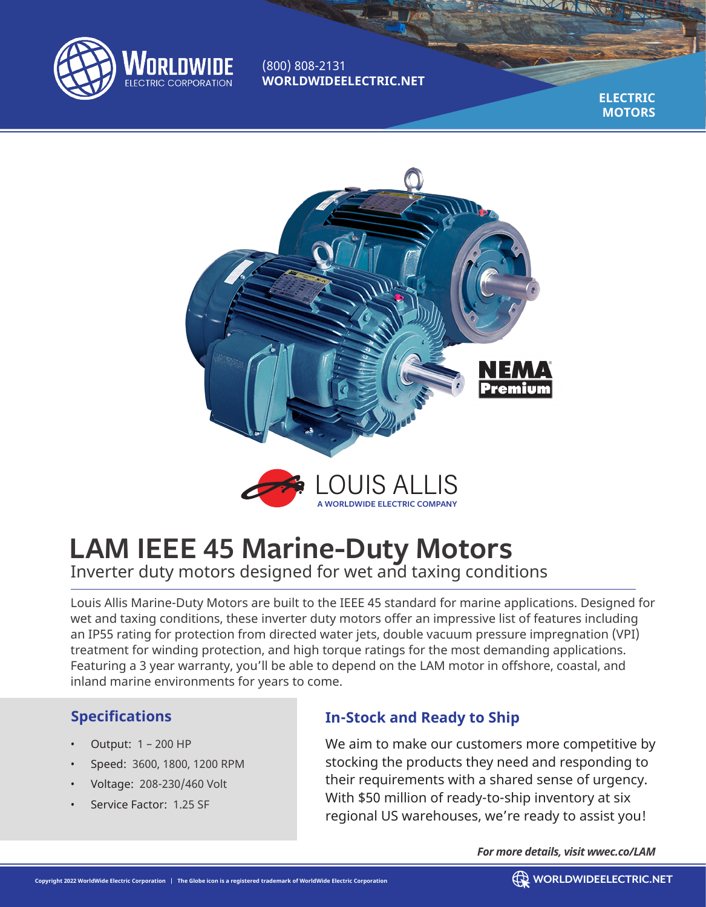

(800) 808-2131 **WORLDWIDEELECTRIC.NET**

> **ELECTRIC MOTORS**



# **LAM IEEE 45 Marine-Duty Motors** Inverter duty motors designed for wet and taxing conditions

Louis Allis Marine-Duty Motors are built to the IEEE 45 standard for marine applications. Designed for wet and taxing conditions, these inverter duty motors offer an impressive list of features including an IP55 rating for protection from directed water jets, double vacuum pressure impregnation (VPI) treatment for winding protection, and high torque ratings for the most demanding applications. Featuring a 3 year warranty, you'll be able to depend on the LAM motor in offshore, coastal, and inland marine environments for years to come.

## **Specifications**

- Output: 1 200 HP
- Speed: 3600, 1800, 1200 RPM
- Voltage: 208-230/460 Volt
- Service Factor: 1.25 SF

## **In-Stock and Ready to Ship**

We aim to make our customers more competitive by stocking the products they need and responding to their requirements with a shared sense of urgency. With \$50 million of ready-to-ship inventory at six regional US warehouses, we're ready to assist you!

*For more details, visit wwec.co/LAM*